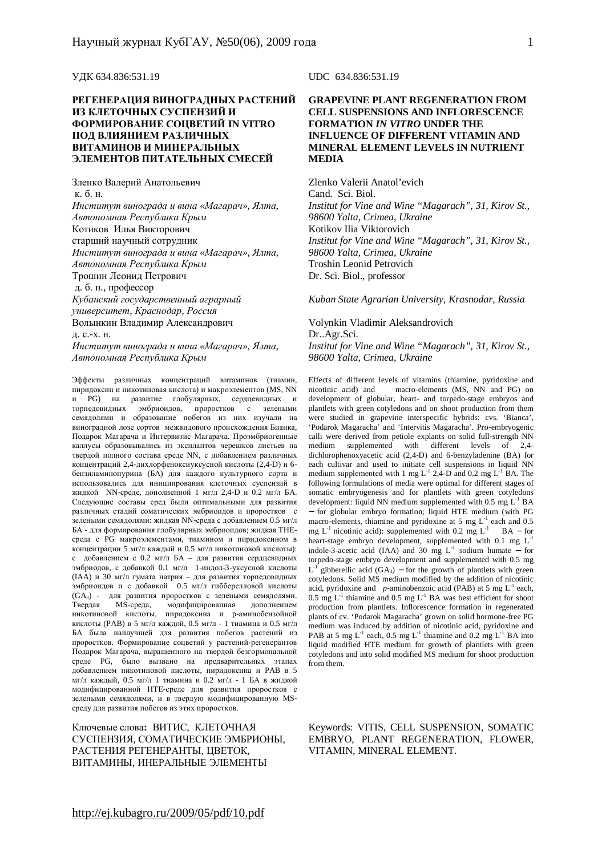#### **РЕГЕНЕРАЦИЯ ВИНОГРАДНЫХ РАСТЕНИЙ ИЗ КЛЕТОЧНЫХ СУСПЕНЗИЙ И ФОРМИРОВАНИЕ СОЦВЕТИЙ IN VITRO ПОД ВЛИЯНИЕМ РАЗЛИЧНЫХ ВИТАМИНОВ И МИНЕРАЛЬНЫХ ЭЛЕМЕНТОВ ПИТАТЕЛЬНЫХ СМЕСЕЙ**

Зленко Валерий Анатольевич к. б. н. *Институт винограда и вина «Магарач», Ялта, Автономная Республика Крым* Котиков Илья Викторович старший научный сотрудник *Институт винограда и вина «Магарач», Ялта, Автономная Республика Крым* Трошин Леонид Петрович д. б. н., профессор *Кубанский государственный аграрный университет, Краснодар, Россия* Волынкин Владимир Александрович д. с.-х. н. *Институт винограда и вина «Магарач», Ялта,* 

*Автономная Республика Крым*

Эффекты различных концентраций витаминов (тиамин, пиридоксин и никотиновая кислота) и макроэлементов (MS, NN и PG) на развитие глобулярных, сердцевидных и торпедовидных эмбриоидов, проростков с зелеными семядолями и образование побегов из них изучали на виноградной лозе сортов межвидового происхождения Бианка, Подарок Магарача и Интервитис Магарача. Проэмбриогенные каллусы образовывались из эксплантов черешков листьев на твердой полного состава среде NN, с добавлением различных концентраций 2,4-дихлорфеноксиуксусной кислоты (2,4-D) и 6 бензиламинопурина (БА) для каждого культурного сорта и использовались для инициирования клеточных суспензий в жидкой NN-среде, дополненной 1 мг/л 2,4-D и 0.2 мг/л БА. Следующие составы сред были оптимальными для развития различных стадий соматических эмбриоидов и проростков с зелеными семядолями: жидкая NN-среда с добавлением 0.5 мг/л БА - для формирования глобулярных эмбриоидов; жидкая THEсреда с PG макроэлементами, тиамином и пиридоксином в концентрации 5 мг/л каждый и 0.5 мг/л никотиновой кислоты): с добавлением с 0.2 мг/л БА – для развития сердцевидных эмбриодов, с добавкой 0.1 мг/л 1-индол-3-уксусной кислоты (IAA) и 30 мг/л гумата натрия – для развития торпедовидных эмбриоидов и с добавкой 0.5 мг/л гибберелловой кислоты (GA3) - для развития проростков с зелеными семядолями. Твердая MS-среда, модифицированная никотиновой кислоты, пиридоксина и p-аминобензойной кислоты (PAB) в 5 мг/л каждой, 0.5 мг/л - 1 тиамина и 0.5 мг/л БА была наилучшей для развития побегов растений из проростков. Формирование соцветий у растений-регенерантов Подарок Магарача, выращенного на твердой безгормональной среде PG, было вызвано на предварительных этапах добавлением никотиновой кислоты, пиридоксина и PAB в 5 мг/л каждый, 0.5 мг/л 1 тиамина и 0.2 мг/л - 1 БА в жидкой модифицированной HTE-среде для развития проростков с зелеными семядолями, и в твердую модифицированную MSсреду для развития побегов из этих проростков.

Ключевые слова**:** ВИТИС, КЛЕТОЧНАЯ СУСПЕНЗИЯ, СОМАТИЧЕСКИЕ ЭМБРИОНЫ, РАСТЕНИЯ РЕГЕНЕРАНТЫ, ЦВЕТОК, ВИТАМИНЫ, ИНЕРАЛЬНЫЕ ЭЛЕМЕНТЫ

УДК 634.836:531.19 UDC 634.836:531.19

#### **GRAPEVINE PLANT REGENERATION FROM CELL SUSPENSIONS AND INFLORESCENCE FORMATION** *IN VITRO* **UNDER THE INFLUENCE OF DIFFERENT VITAMIN AND MINERAL ELEMENT LEVELS IN NUTRIENT MEDIA**

Zlenko Valerii Anatol'evich Cand. Sci. Biol. *Institut for Vine and Wine "Magarach", 31, Kirov St., 98600 Yalta, Crimea, Ukraine*  Kotikov Ilia Viktorovich *Institut for Vine and Wine "Magarach", 31, Kirov St., 98600 Yalta, Crimea, Ukraine* Troshin Leonid Petrovich Dr. Sci. Biol., professor

*Kuban State Agrarian University, Krasnodar, Russia*

Volynkin Vladimir Aleksandrovich Dr..Agr.Sci. *Institut for Vine and Wine "Magarach", 31, Kirov St., 98600 Yalta, Crimea, Ukraine*

Effects of different levels of vitamins (thiamine, pyridoxine and nicotinic acid) and macro-elements (MS, NN and PG) on development of globular, heart- and torpedo-stage embryos and plantlets with green cotyledons and on shoot production from them were studied in grapevine interspecific hybrids: cvs. 'Bianca', 'Podarok Magaracha' and 'Intervitis Magaracha'. Pro-embryogenic calli were derived from petiole explants on solid full-strength NN medium supplemented with different levels of 2,4 dichlorophenoxyacetic acid (2,4-D) and 6-benzyladenine (BA) for each cultivar and used to initiate cell suspensions in liquid NN medium supplemented with  $1 \text{ mg } L^{-1} 2.4$ -D and 0.2 mg  $L^{-1}$  BA. The following formulations of media were optimal for different stages of somatic embryogenesis and for plantlets with green cotyledons development: liquid NN medium supplemented with  $0.5 \text{ mg L}^{-1} \text{ BA}$ − for globular embryo formation; liquid HTE medium (with PG macro-elements, thiamine and pyridoxine at 5 mg L<sup>-1</sup> each and 0.5 mg L<sup>-1</sup> nicotinic acid): supplemented with 0.2 mg L<sup>-1</sup> BA – for heart-stage embryo development, supplemented with 0.1 mg  $L^{-1}$ indole-3-acetic acid (IAA) and 30 mg  $L^{-1}$  sodium humate – for torpedo-stage embryo development and supplemented with 0.5 mg  $L^{-1}$  gibberellic acid (GA<sub>3</sub>) – for the growth of plantlets with green cotyledons. Solid MS medium modified by the addition of nicotinic acid, pyridoxine and *p*-aminobenzoic acid (PAB) at 5 mg L-1 each, 0.5 mg  $L^{-1}$  thiamine and 0.5 mg  $L^{-1}$  BA was best efficient for shoot production from plantlets. Inflorescence formation in regenerated plants of cv. 'Podarok Magaracha' grown on solid hormone-free PG medium was induced by addition of nicotinic acid, pyridoxine and PAB at 5 mg  $L^{-1}$  each, 0.5 mg  $L^{-1}$  thiamine and 0.2 mg  $L^{-1}$  BA into liquid modified HTE medium for growth of plantlets with green cotyledons and into solid modified MS medium for shoot production from them.

Keywords: VITIS, CELL SUSPENSION, SOMATIC EMBRYO, PLANT REGENERATION, FLOWER, VITAMIN, MINERAL ELEMENT.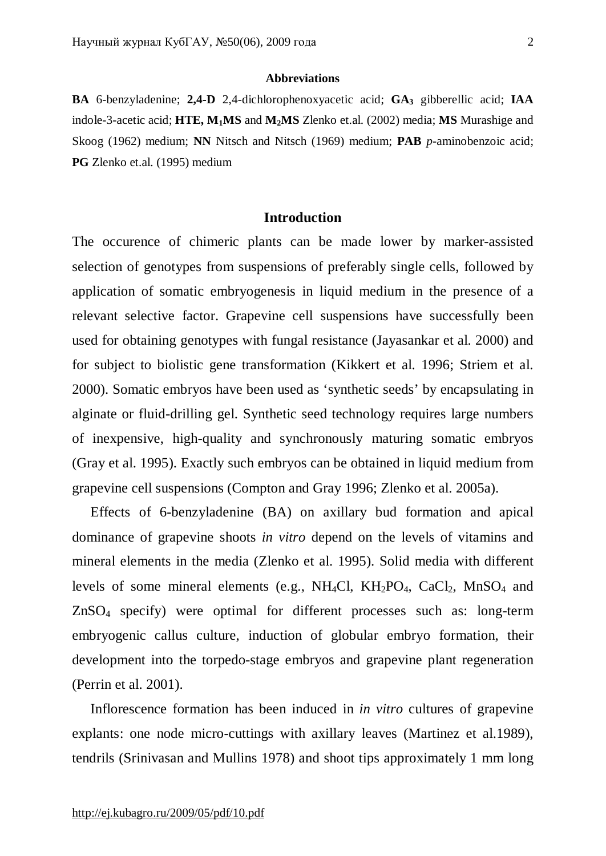#### **Abbreviations**

**BA** 6-benzyladenine; **2,4-D** 2,4-dichlorophenoxyacetic acid; **GA<sup>3</sup>** gibberellic acid; **IAA**  indole-3-acetic acid; **HTE, M1MS** and **M2MS** Zlenko et.al. (2002) media; **MS** Murashige and Skoog (1962) medium; **NN** Nitsch and Nitsch (1969) medium; **PAB** *p*-aminobenzoic acid; **PG** Zlenko et.al. (1995) medium

#### **Introduction**

The occurence of chimeric plants can be made lower by marker-assisted selection of genotypes from suspensions of preferably single cells, followed by application of somatic embryogenesis in liquid medium in the presence of a relevant selective factor. Grapevine cell suspensions have successfully been used for obtaining genotypes with fungal resistance (Jayasankar et al. 2000) and for subject to biolistic gene transformation (Kikkert et al. 1996; Striem et al. 2000). Somatic embryos have been used as 'synthetic seeds' by encapsulating in alginate or fluid-drilling gel. Synthetic seed technology requires large numbers of inexpensive, high-quality and synchronously maturing somatic embryos (Gray et al. 1995). Exactly such embryos can be obtained in liquid medium from grapevine cell suspensions (Compton and Gray 1996; Zlenko et al. 2005a).

Effects of 6-benzyladenine (BA) on axillary bud formation and apical dominance of grapevine shoots *in vitro* depend on the levels of vitamins and mineral elements in the media (Zlenko et al. 1995). Solid media with different levels of some mineral elements (e.g.,  $NH_4Cl$ ,  $KH_2PO_4$ ,  $CaCl_2$ ,  $MnSO_4$  and ZnSO<sup>4</sup> specify) were optimal for different processes such as: long-term embryogenic callus culture, induction of globular embryo formation, their development into the torpedo-stage embryos and grapevine plant regeneration (Perrin et al. 2001).

Inflorescence formation has been induced in *in vitro* cultures of grapevine explants: one node micro-cuttings with axillary leaves (Martinez et al.1989), tendrils (Srinivasan and Mullins 1978) and shoot tips approximately 1 mm long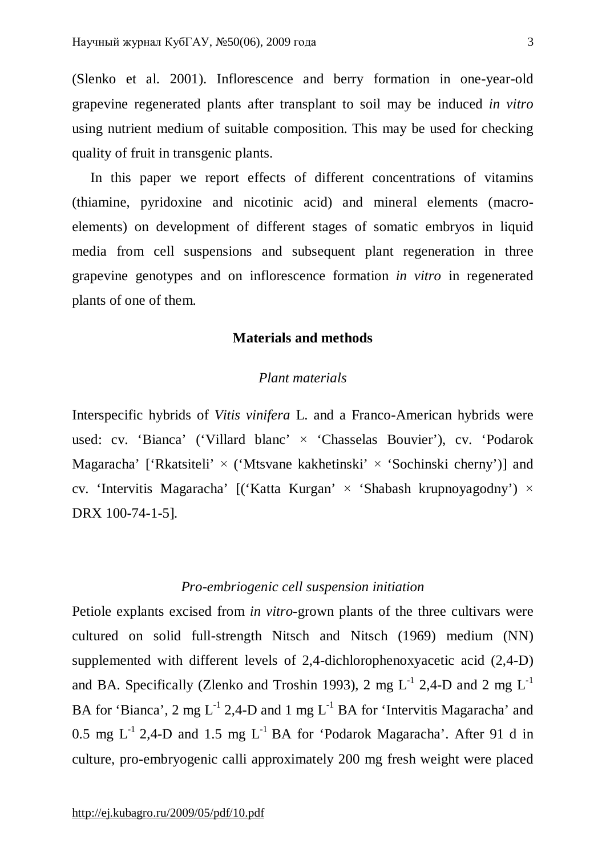(Slenko et al. 2001). Inflorescence and berry formation in one-year-old grapevine regenerated plants after transplant to soil may be induced *in vitro* using nutrient medium of suitable composition. This may be used for checking quality of fruit in transgenic plants.

In this paper we report effects of different concentrations of vitamins (thiamine, pyridoxine and nicotinic acid) and mineral elements (macroelements) on development of different stages of somatic embryos in liquid media from cell suspensions and subsequent plant regeneration in three grapevine genotypes and on inflorescence formation *in vitro* in regenerated plants of one of them.

## **Materials and methods**

## *Plant materials*

Interspecific hybrids of *Vitis vinifera* L. and a Franco-American hybrids were used: cv. 'Bianca' ('Villard blanc' × 'Chasselas Bouvier'), cv. 'Podarok Magaracha' ['Rkatsiteli'  $\times$  ('Mtsvane kakhetinski'  $\times$  'Sochinski cherny')] and cv. 'Intervitis Magaracha'  $[(\text{Katta Kurgan'} \times \text{Shabash Krupnovagodny'}) \times$ DRX 100-74-1-5]*.*

## *Pro-embriogenic cell suspension initiation*

Petiole explants excised from *in vitro*-grown plants of the three cultivars were cultured on solid full-strength Nitsch and Nitsch (1969) medium (NN) supplemented with different levels of 2,4-dichlorophenoxyacetic acid (2,4-D) and BA. Specifically (Zlenko and Troshin 1993), 2 mg  $L^{-1}$  2,4-D and 2 mg  $L^{-1}$ BA for 'Bianca', 2 mg  $L^{-1}$  2,4-D and 1 mg  $L^{-1}$  BA for 'Intervitis Magaracha' and 0.5 mg  $L^{-1}$  2,4-D and 1.5 mg  $L^{-1}$  BA for 'Podarok Magaracha'. After 91 d in culture, pro-embryogenic calli approximately 200 mg fresh weight were placed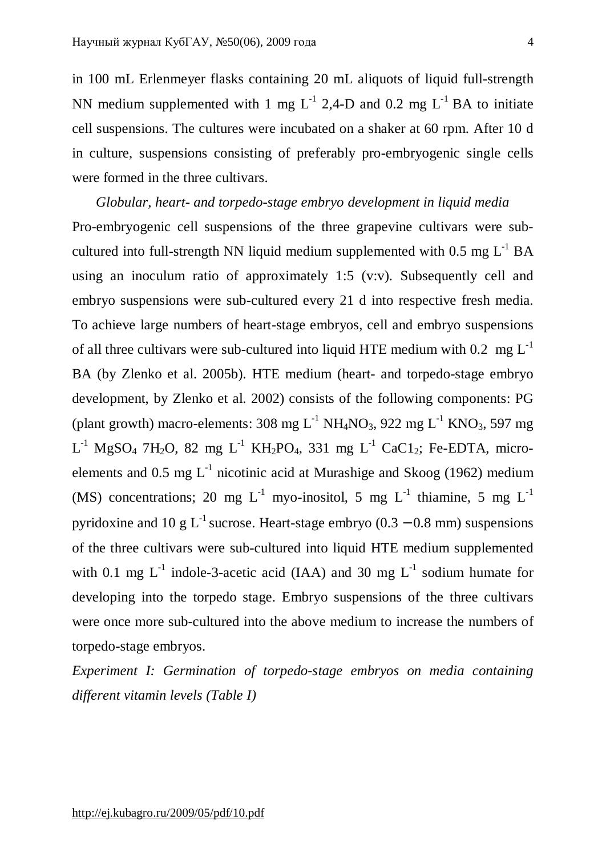in 100 mL Erlenmeyer flasks containing 20 mL aliquots of liquid full-strength NN medium supplemented with 1 mg  $L^{-1}$  2,4-D and 0.2 mg  $L^{-1}$  BA to initiate cell suspensions. The cultures were incubated on a shaker at 60 rpm. After 10 d in culture, suspensions consisting of preferably pro-embryogenic single cells were formed in the three cultivars.

*Globular, heart- and torpedo-stage embryo development in liquid media*  Pro-embryogenic cell suspensions of the three grapevine cultivars were subcultured into full-strength NN liquid medium supplemented with  $0.5 \text{ mg } L^{-1}$  BA using an inoculum ratio of approximately 1:5 (v:v). Subsequently cell and embryo suspensions were sub-cultured every 21 d into respective fresh media. To achieve large numbers of heart-stage embryos, cell and embryo suspensions of all three cultivars were sub-cultured into liquid HTE medium with 0.2 mg  $L^{-1}$ BA (by Zlenko et al. 2005b). HTE medium (heart- and torpedo-stage embryo development, by Zlenko et al. 2002) consists of the following components: PG (plant growth) macro-elements: 308 mg  $L^{-1}$  NH<sub>4</sub>NO<sub>3</sub>, 922 mg  $L^{-1}$  KNO<sub>3</sub>, 597 mg  $L^{-1}$  MgSO<sub>4</sub> 7H<sub>2</sub>O, 82 mg L<sup>-1</sup> KH<sub>2</sub>PO<sub>4</sub>, 331 mg L<sup>-1</sup> CaC1<sub>2</sub>; Fe-EDTA, microelements and 0.5 mg  $L^{-1}$  nicotinic acid at Murashige and Skoog (1962) medium (MS) concentrations; 20 mg  $L^{-1}$  myo-inositol, 5 mg  $L^{-1}$  thiamine, 5 mg  $L^{-1}$ pyridoxine and 10 g L<sup>-1</sup> sucrose. Heart-stage embryo (0.3 – 0.8 mm) suspensions of the three cultivars were sub-cultured into liquid HTE medium supplemented with 0.1 mg  $L^{-1}$  indole-3-acetic acid (IAA) and 30 mg  $L^{-1}$  sodium humate for developing into the torpedo stage. Embryo suspensions of the three cultivars were once more sub-cultured into the above medium to increase the numbers of torpedo-stage embryos.

*Experiment I: Germination of torpedo-stage embryos on media containing different vitamin levels (Table I)*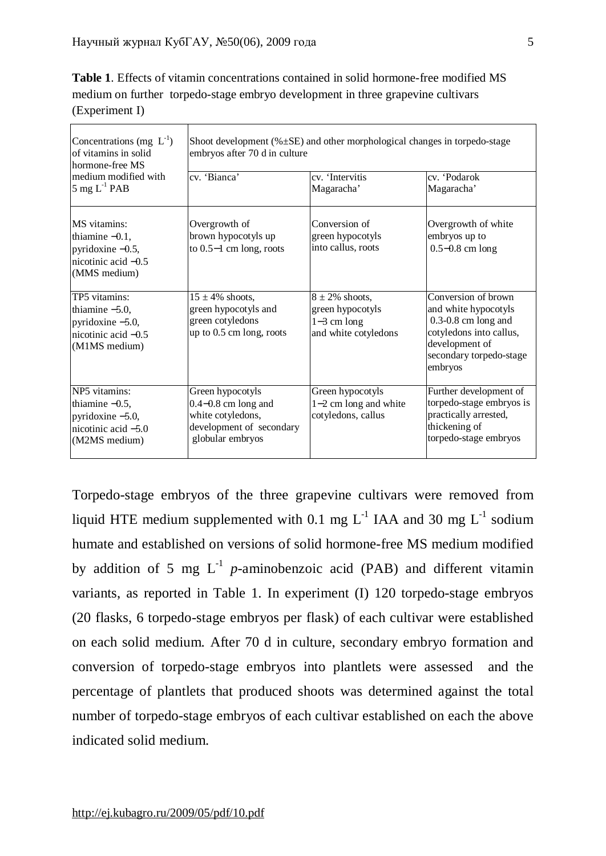**Table 1**. Effects of vitamin concentrations contained in solid hormone-free modified MS medium on further torpedo-stage embryo development in three grapevine cultivars (Experiment I)

| Concentrations (mg $L^{-1}$ )<br>of vitamins in solid<br>hormone-free MS<br>medium modified with<br>5 mg $L^{-1}$ PAB | Shoot development $(\% \pm SE)$ and other morphological changes in torpedo-stage<br>embryos after 70 d in culture |                                                                                  |                                                                                                                                                           |  |  |  |
|-----------------------------------------------------------------------------------------------------------------------|-------------------------------------------------------------------------------------------------------------------|----------------------------------------------------------------------------------|-----------------------------------------------------------------------------------------------------------------------------------------------------------|--|--|--|
|                                                                                                                       | cv. 'Bianca'                                                                                                      | cv. 'Intervitis<br>Magaracha'                                                    | cv. 'Podarok<br>Magaracha'                                                                                                                                |  |  |  |
| MS vitamins:<br>thiamine $-0.1$ ,<br>pyridoxine $-0.5$ ,<br>nicotinic acid $-0.5$<br>(MMS medium)                     | Overgrowth of<br>brown hypocotyls up<br>to $0.5-1$ cm long, roots                                                 | Conversion of<br>green hypocotyls<br>into callus, roots                          | Overgrowth of white<br>embryos up to<br>$0.5 - 0.8$ cm long                                                                                               |  |  |  |
| TP5 vitamins:<br>thiamine $-5.0$ ,<br>pyridoxine -5.0,<br>nicotinic acid $-0.5$<br>(M1MS medium)                      | $15 \pm 4\%$ shoots,<br>green hypocotyls and<br>green cotyledons<br>up to 0.5 cm long, roots                      | $8 \pm 2\%$ shoots,<br>green hypocotyls<br>$1-3$ cm long<br>and white cotyledons | Conversion of brown<br>and white hypocotyls<br>$0.3 - 0.8$ cm long and<br>cotyledons into callus,<br>development of<br>secondary torpedo-stage<br>embryos |  |  |  |
| NP5 vitamins:<br>thiamine $-0.5$ ,<br>pyridoxine $-5.0$ ,<br>nicotinic acid $-5.0$<br>(M2MS medium)                   | Green hypocotyls<br>$0.4 - 0.8$ cm long and<br>white cotyledons,<br>development of secondary<br>globular embryos  | Green hypocotyls<br>$1-2$ cm long and white<br>cotyledons, callus                | Further development of<br>torpedo-stage embryos is<br>practically arrested,<br>thickening of<br>torpedo-stage embryos                                     |  |  |  |

Torpedo-stage embryos of the three grapevine cultivars were removed from liquid HTE medium supplemented with 0.1 mg  $L^{-1}$  IAA and 30 mg  $L^{-1}$  sodium humate and established on versions of solid hormone-free MS medium modified by addition of 5 mg  $L^{-1}$  *p*-aminobenzoic acid (PAB) and different vitamin variants, as reported in Table 1. In experiment (I) 120 torpedo-stage embryos (20 flasks, 6 torpedo-stage embryos per flask) of each cultivar were established on each solid medium. After 70 d in culture, secondary embryo formation and conversion of torpedo-stage embryos into plantlets were assessed and the percentage of plantlets that produced shoots was determined against the total number of torpedo-stage embryos of each cultivar established on each the above indicated solid medium.

5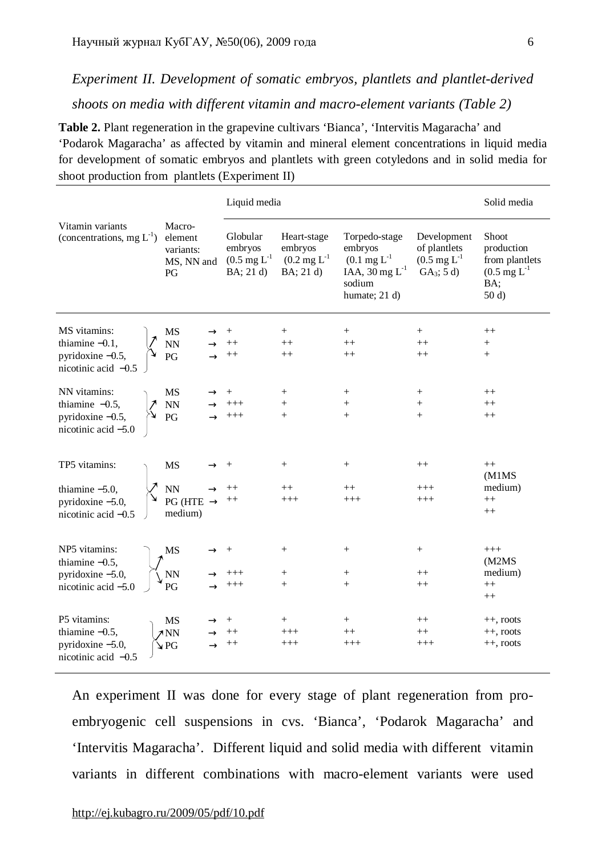## *Experiment II. Development of somatic embryos, plantlets and plantlet-derived shoots on media with different vitamin and macro-element variants (Table 2)*

**Table 2.** Plant regeneration in the grapevine cultivars 'Bianca', 'Intervitis Magaracha' and 'Podarok Magaracha' as affected by vitamin and mineral element concentrations in liquid media for development of somatic embryos and plantlets with green cotyledons and in solid media for shoot production from plantlets (Experiment II)

|                                                                                  |                                                       |                                                                              | Liquid media                                                                    |                                                                                                                     |                                                                                          |                                                                                                |
|----------------------------------------------------------------------------------|-------------------------------------------------------|------------------------------------------------------------------------------|---------------------------------------------------------------------------------|---------------------------------------------------------------------------------------------------------------------|------------------------------------------------------------------------------------------|------------------------------------------------------------------------------------------------|
| Vitamin variants<br>(concentrations, mg $L^{-1}$ )                               | Macro-<br>element<br>variants:<br>MS, NN and<br>PG    | Globular<br>embryos<br>$(0.5 \,\mathrm{mg} \, \mathrm{L}^{-1})$<br>BA; 21 d) | Heart-stage<br>embryos<br>$(0.2 \,\mathrm{mg} \, \mathrm{L}^{-1})$<br>BA; 21 d) | Torpedo-stage<br>embryos<br>$(0.1 \text{ mg L}^{-1})$<br>IAA, $30 \text{ mg } L^{-1}$<br>sodium<br>humate; $21 d$ ) | Development<br>of plantlets<br>$(0.5 \,\mathrm{mg} \, \mathrm{L}^{-1})$<br>$GA_3$ ; 5 d) | Shoot<br>production<br>from plantlets<br>$(0.5 \,\mathrm{mg}\, \mathrm{L}^{-1})$<br>BA;<br>50d |
| MS vitamins:<br>thiamine $-0.1$ ,<br>pyridoxine $-0.5$ ,<br>nicotinic acid -0.5  | MS<br>NN<br>PG                                        | $++$<br>$++$                                                                 | $^{+}$<br>$++$<br>$++$                                                          | $+$<br>$++$<br>$++$                                                                                                 | $+$<br>$++$<br>$^{++}$                                                                   | $++$<br>$^{+}$<br>$^{+}$                                                                       |
| NN vitamins:<br>thiamine $-0.5$ ,<br>pyridoxine -0.5,<br>nicotinic acid -5.0     | MS<br>$\mathop{\rm NN}\nolimits$<br>PG                | $^{+++}$<br>$^{+++}$                                                         | $\ddot{}$<br>$\ddot{}$                                                          | $^{+}$<br>$\ddot{}$<br>$+$                                                                                          | $^{+}$<br>$^{+}$<br>$+$                                                                  | $++$<br>$^{++}$<br>$++$                                                                        |
| TP5 vitamins:<br>thiamine $-5.0$ ,<br>pyridoxine -5.0,<br>nicotinic acid -0.5    | <b>MS</b><br>NN<br>$PG$ (HTE $\rightarrow$<br>medium) |                                                                              | $^{+}$<br>$++$<br>$+++$                                                         | $^{+}$<br>$++$<br>$+++$                                                                                             | $^{++}$<br>$^{+++}$<br>$^{+++}$                                                          | $++$<br>(M1MS)<br>medium)<br>$++$<br>$++$                                                      |
| NP5 vitamins:<br>thiamine $-0.5$ ,<br>pyridoxine $-5.0$ ,<br>nicotinic acid -5.0 | MS<br><b>NN</b><br>PG                                 | $^{+++}$<br>$^{+++}$                                                         | $^{+}$<br>$^{+}$<br>$\ddot{}$                                                   | $^{+}$<br>$^{+}$<br>$+$                                                                                             | $^{+}$<br>$++$<br>$^{++}$                                                                | $+++$<br>(M2MS)<br>medium)<br>$^{++}$<br>$++$                                                  |
| P5 vitamins:<br>thiamine $-0.5$ ,<br>pyridoxine -5.0,<br>nicotinic acid $-0.5$   | <b>MS</b><br>7NN<br>$\blacktriangleright$ PG          | $++$<br>$++$                                                                 | $^+$<br>$^{+++}$<br>$+++$                                                       | $^{+}$<br>$++$<br>$+++$                                                                                             | $^{++}$<br>$++$<br>$^{+++}$                                                              | $++,$ roots<br>$++$ , roots<br>$++$ , roots                                                    |

An experiment II was done for every stage of plant regeneration from proembryogenic cell suspensions in cvs. 'Bianca', 'Podarok Magaracha' and 'Intervitis Magaracha'. Different liquid and solid media with different vitamin variants in different combinations with macro-element variants were used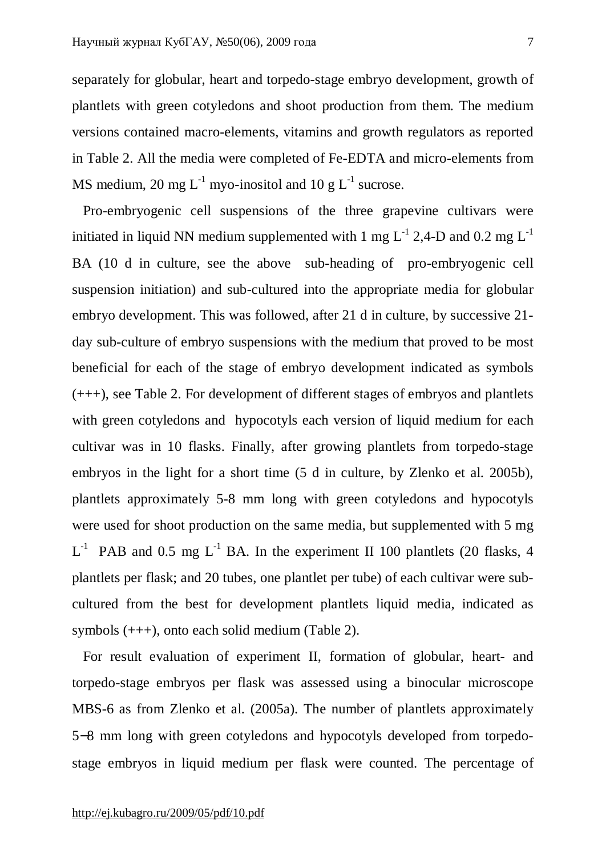separately for globular, heart and torpedo-stage embryo development, growth of plantlets with green cotyledons and shoot production from them. The medium versions contained macro-elements, vitamins and growth regulators as reported in Table 2. All the media were completed of Fe-EDTA and micro-elements from MS medium, 20 mg  $L^{-1}$  myo-inositol and 10 g  $L^{-1}$  sucrose.

 Pro-embryogenic cell suspensions of the three grapevine cultivars were initiated in liquid NN medium supplemented with 1 mg  $L^{-1}$  2.4-D and 0.2 mg  $L^{-1}$ BA (10 d in culture, see the above sub-heading of pro-embryogenic cell suspension initiation) and sub-cultured into the appropriate media for globular embryo development. This was followed, after 21 d in culture, by successive 21 day sub-culture of embryo suspensions with the medium that proved to be most beneficial for each of the stage of embryo development indicated as symbols (+++), see Table 2. For development of different stages of embryos and plantlets with green cotyledons and hypocotyls each version of liquid medium for each cultivar was in 10 flasks. Finally, after growing plantlets from torpedo-stage embryos in the light for a short time (5 d in culture, by Zlenko et al. 2005b), plantlets approximately 5-8 mm long with green cotyledons and hypocotyls were used for shoot production on the same media, but supplemented with 5 mg  $L^{-1}$  PAB and 0.5 mg  $L^{-1}$  BA. In the experiment II 100 plantlets (20 flasks, 4 plantlets per flask; and 20 tubes, one plantlet per tube) of each cultivar were subcultured from the best for development plantlets liquid media, indicated as symbols (+++), onto each solid medium (Table 2).

 For result evaluation of experiment II, formation of globular, heart- and torpedo-stage embryos per flask was assessed using a binocular microscope MBS-6 as from Zlenko et al. (2005a). The number of plantlets approximately 5−8 mm long with green cotyledons and hypocotyls developed from torpedostage embryos in liquid medium per flask were counted. The percentage of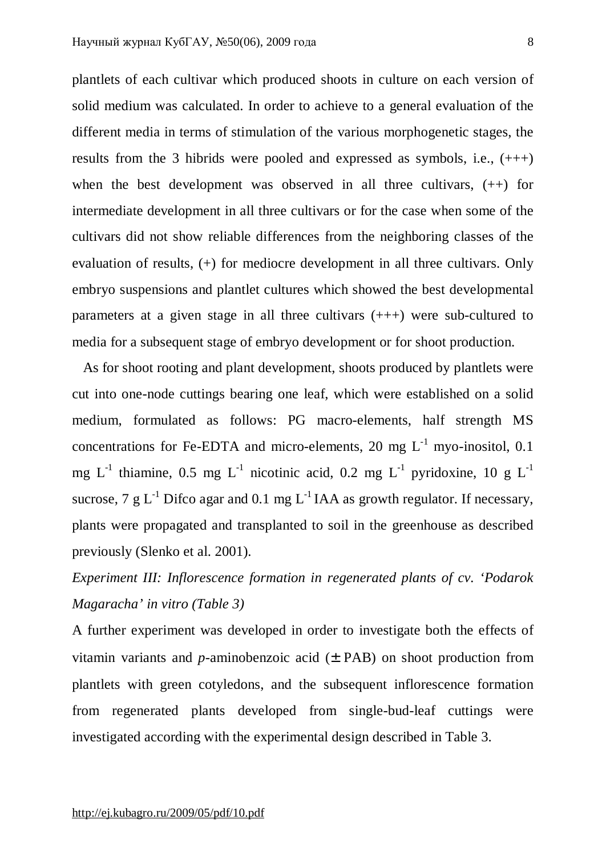plantlets of each cultivar which produced shoots in culture on each version of solid medium was calculated. In order to achieve to a general evaluation of the different media in terms of stimulation of the various morphogenetic stages, the results from the 3 hibrids were pooled and expressed as symbols, i.e., (+++) when the best development was observed in all three cultivars,  $(++)$  for intermediate development in all three cultivars or for the case when some of the cultivars did not show reliable differences from the neighboring classes of the evaluation of results, (+) for mediocre development in all three cultivars. Only embryo suspensions and plantlet cultures which showed the best developmental parameters at a given stage in all three cultivars (+++) were sub-cultured to media for a subsequent stage of embryo development or for shoot production.

 As for shoot rooting and plant development, shoots produced by plantlets were cut into one-node cuttings bearing one leaf, which were established on a solid medium, formulated as follows: PG macro-elements, half strength MS concentrations for Fe-EDTA and micro-elements, 20 mg  $L^{-1}$  myo-inositol, 0.1 mg L<sup>-1</sup> thiamine, 0.5 mg L<sup>-1</sup> nicotinic acid, 0.2 mg L<sup>-1</sup> pyridoxine, 10 g L<sup>-1</sup> sucrose, 7 g  $L^{-1}$  Difco agar and 0.1 mg  $L^{-1}$  IAA as growth regulator. If necessary, plants were propagated and transplanted to soil in the greenhouse as described previously (Slenko et al. 2001).

# *Experiment III: Inflorescence formation in regenerated plants of cv. 'Podarok Magaracha' in vitro (Table 3)*

A further experiment was developed in order to investigate both the effects of vitamin variants and *p*-aminobenzoic acid  $(\pm$  PAB) on shoot production from plantlets with green cotyledons, and the subsequent inflorescence formation from regenerated plants developed from single-bud-leaf cuttings were investigated according with the experimental design described in Table 3.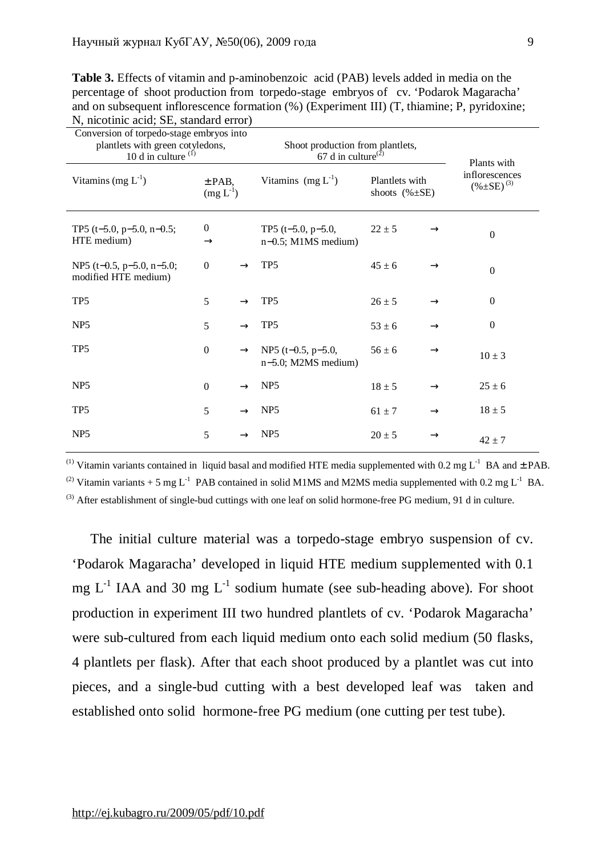**Table 3.** Effects of vitamin and p-aminobenzoic acid (PAB) levels added in media on the percentage of shoot production from torpedo-stage embryos of cv. 'Podarok Magaracha' and on subsequent inflorescence formation (%) (Experiment III) (T, thiamine: P, pyridoxine; N, nicotinic acid; SE, standard error)

| $\ldots$<br>Conversion of torpedo-stage embryos into<br>plantlets with green cotyledons,<br>10 d in culture $(i)$ |                                   |               | Shoot production from plantlets,<br>67 d in culture <sup>(2)</sup> |                                        |               | Plants with                           |
|-------------------------------------------------------------------------------------------------------------------|-----------------------------------|---------------|--------------------------------------------------------------------|----------------------------------------|---------------|---------------------------------------|
| Vitamins (mg $L^{-1}$ )                                                                                           | $±$ PAB,<br>$(mg L^{-1})$         |               | Vitamins $(mg L^{-1})$                                             | Plantlets with<br>shoots $(\% \pm SE)$ |               | inflorescences<br>$(\% \pm SE)^{(3)}$ |
| TP5 (t-5.0, p-5.0, n-0.5;<br>HTE medium)                                                                          | $\boldsymbol{0}$<br>$\rightarrow$ |               | TP5 $(t-5.0, p-5.0,$<br>$n-0.5$ ; M1MS medium)                     | $22 \pm 5$                             | $\rightarrow$ | $\mathbf{0}$                          |
| NP5 (t-0.5, $p-5.0$ , $n-5.0$ ;<br>modified HTE medium)                                                           | $\theta$                          |               | TP <sub>5</sub>                                                    | $45 \pm 6$                             | $\rightarrow$ | $\theta$                              |
| TP <sub>5</sub>                                                                                                   | 5                                 |               | TP <sub>5</sub>                                                    | $26 \pm 5$                             | $\rightarrow$ | $\theta$                              |
| NP <sub>5</sub>                                                                                                   | 5                                 | $\rightarrow$ | TP <sub>5</sub>                                                    | $53 \pm 6$                             | $\rightarrow$ | $\boldsymbol{0}$                      |
| TP <sub>5</sub>                                                                                                   | $\boldsymbol{0}$                  | $\rightarrow$ | NP5 (t-0.5, $p-5.0$ ,<br>$n-5.0$ ; M2MS medium)                    | $56 \pm 6$                             | $\rightarrow$ | $10 \pm 3$                            |
| NP <sub>5</sub>                                                                                                   | $\boldsymbol{0}$                  |               | NP <sub>5</sub>                                                    | $18 \pm 5$                             | $\rightarrow$ | $25 \pm 6$                            |
| TP <sub>5</sub>                                                                                                   | 5                                 |               | NP <sub>5</sub>                                                    | $61 \pm 7$                             | $\rightarrow$ | $18 \pm 5$                            |
| NP <sub>5</sub>                                                                                                   | 5                                 |               | NP <sub>5</sub>                                                    | $20 \pm 5$                             | $\rightarrow$ | $42 \pm 7$                            |

<sup>(1)</sup> Vitamin variants contained in liquid basal and modified HTE media supplemented with 0.2 mg  $L^{-1}$  BA and  $\pm$  PAB.

<sup>(2)</sup> Vitamin variants + 5 mg L<sup>-1</sup> PAB contained in solid M1MS and M2MS media supplemented with 0.2 mg L<sup>-1</sup> BA.  $^{(3)}$  After establishment of single-bud cuttings with one leaf on solid hormone-free PG medium, 91 d in culture.

The initial culture material was a torpedo-stage embryo suspension of cv. 'Podarok Magaracha' developed in liquid HTE medium supplemented with 0.1 mg  $L^{-1}$  IAA and 30 mg  $L^{-1}$  sodium humate (see sub-heading above). For shoot production in experiment III two hundred plantlets of cv. 'Podarok Magaracha' were sub-cultured from each liquid medium onto each solid medium (50 flasks, 4 plantlets per flask). After that each shoot produced by a plantlet was cut into pieces, and a single-bud cutting with a best developed leaf was taken and established onto solid hormone-free PG medium (one cutting per test tube).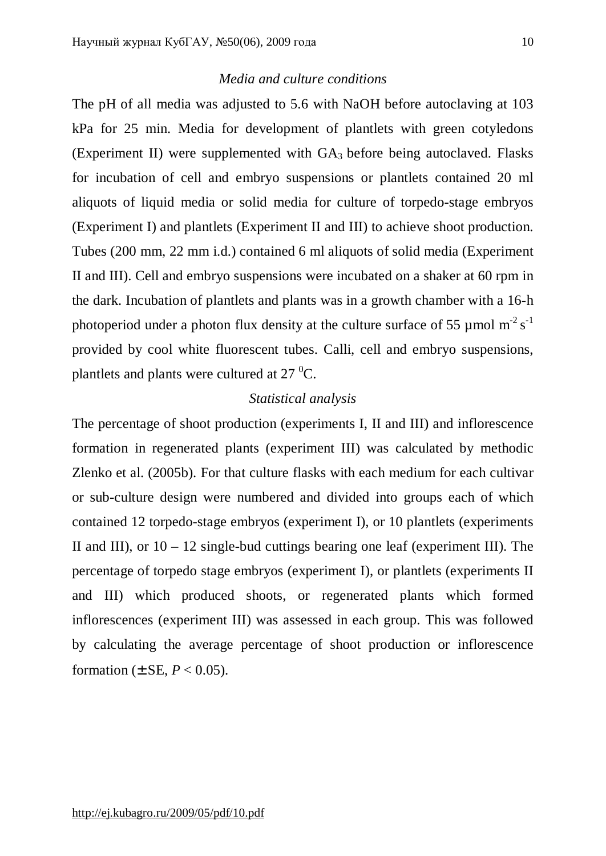### *Media and culture conditions*

The pH of all media was adjusted to 5.6 with NaOH before autoclaving at 103 kPa for 25 min. Media for development of plantlets with green cotyledons (Experiment II) were supplemented with  $GA_3$  before being autoclaved. Flasks for incubation of cell and embryo suspensions or plantlets contained 20 ml aliquots of liquid media or solid media for culture of torpedo-stage embryos (Experiment I) and plantlets (Experiment II and III) to achieve shoot production. Tubes (200 mm, 22 mm i.d.) contained 6 ml aliquots of solid media (Experiment II and III). Cell and embryo suspensions were incubated on a shaker at 60 rpm in the dark. Incubation of plantlets and plants was in a growth chamber with a 16-h photoperiod under a photon flux density at the culture surface of 55  $\mu$  mol m<sup>-2</sup> s<sup>-1</sup> provided by cool white fluorescent tubes. Calli, cell and embryo suspensions, plantlets and plants were cultured at  $27 \degree C$ .

## *Statistical analysis*

The percentage of shoot production (experiments I, II and III) and inflorescence formation in regenerated plants (experiment III) was calculated by methodic Zlenko et al. (2005b). For that culture flasks with each medium for each cultivar or sub-culture design were numbered and divided into groups each of which contained 12 torpedo-stage embryos (experiment I), or 10 plantlets (experiments II and III), or  $10 - 12$  single-bud cuttings bearing one leaf (experiment III). The percentage of torpedo stage embryos (experiment I), or plantlets (experiments II and III) which produced shoots, or regenerated plants which formed inflorescences (experiment III) was assessed in each group. This was followed by calculating the average percentage of shoot production or inflorescence formation ( $\pm$  SE,  $P < 0.05$ ).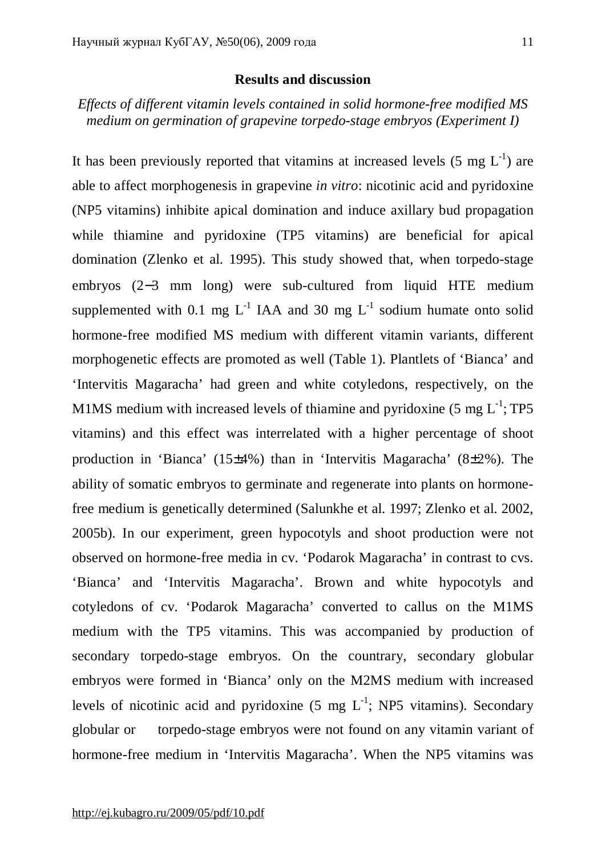### **Results and discussion**

*Effects of different vitamin levels contained in solid hormone-free modified MS medium on germination of grapevine torpedo-stage embryos (Experiment I)*

It has been previously reported that vitamins at increased levels  $(5 \text{ mg } L^{-1})$  are able to affect morphogenesis in grapevine *in vitro*: nicotinic acid and pyridoxine (NP5 vitamins) inhibite apical domination and induce axillary bud propagation while thiamine and pyridoxine (TP5 vitamins) are beneficial for apical domination (Zlenko et al. 1995). This study showed that, when torpedo-stage embryos (2−3 mm long) were sub-cultured from liquid HTE medium supplemented with 0.1 mg  $L^{-1}$  IAA and 30 mg  $L^{-1}$  sodium humate onto solid hormone-free modified MS medium with different vitamin variants, different morphogenetic effects are promoted as well (Table 1). Plantlets of 'Bianca' and 'Intervitis Magaracha' had green and white cotyledons, respectively, on the M1MS medium with increased levels of thiamine and pyridoxine  $(5 \text{ mg } L^{-1}; TPS)$ vitamins) and this effect was interrelated with a higher percentage of shoot production in 'Bianca' (15±4%) than in 'Intervitis Magaracha' (8±2%). The ability of somatic embryos to germinate and regenerate into plants on hormonefree medium is genetically determined (Salunkhe et al. 1997; Zlenko et al. 2002, 2005b). In our experiment, green hypocotyls and shoot production were not observed on hormone-free media in cv. 'Podarok Magaracha' in contrast to cvs. 'Bianca' and 'Intervitis Magaracha'. Brown and white hypocotyls and cotyledons of cv. 'Podarok Magaracha' converted to callus on the M1MS medium with the TP5 vitamins. This was accompanied by production of secondary torpedo-stage embryos. On the countrary, secondary globular embryos were formed in 'Bianca' only on the M2MS medium with increased levels of nicotinic acid and pyridoxine  $(5 \text{ mg } L^{-1}$ ; NP5 vitamins). Secondary globular or torpedo-stage embryos were not found on any vitamin variant of hormone-free medium in 'Intervitis Magaracha'. When the NP5 vitamins was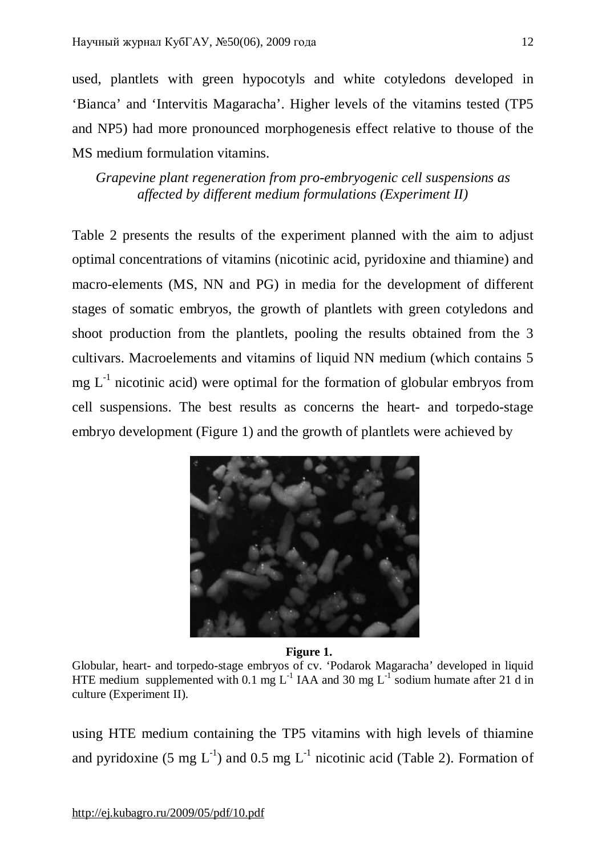used, plantlets with green hypocotyls and white cotyledons developed in 'Bianca' and 'Intervitis Magaracha'. Higher levels of the vitamins tested (TP5 and NP5) had more pronounced morphogenesis effect relative to thouse of the MS medium formulation vitamins.

*Grapevine plant regeneration from pro-embryogenic cell suspensions as affected by different medium formulations (Experiment II)* 

Table 2 presents the results of the experiment planned with the aim to adjust optimal concentrations of vitamins (nicotinic acid, pyridoxine and thiamine) and macro-elements (MS, NN and PG) in media for the development of different stages of somatic embryos, the growth of plantlets with green cotyledons and shoot production from the plantlets, pooling the results obtained from the 3 cultivars. Macroelements and vitamins of liquid NN medium (which contains 5  $mg L<sup>-1</sup>$  nicotinic acid) were optimal for the formation of globular embryos from cell suspensions. The best results as concerns the heart- and torpedo-stage embryo development (Figure 1) and the growth of plantlets were achieved by



 **Figure 1.**

Globular, heart- and torpedo-stage embryos of cv. 'Podarok Magaracha' developed in liquid HTE medium supplemented with 0.1 mg  $L^{-1}$  IAA and 30 mg  $L^{-1}$  sodium humate after 21 d in culture (Experiment II).

using HTE medium containing the TP5 vitamins with high levels of thiamine and pyridoxine (5 mg  $L^{-1}$ ) and 0.5 mg  $L^{-1}$  nicotinic acid (Table 2). Formation of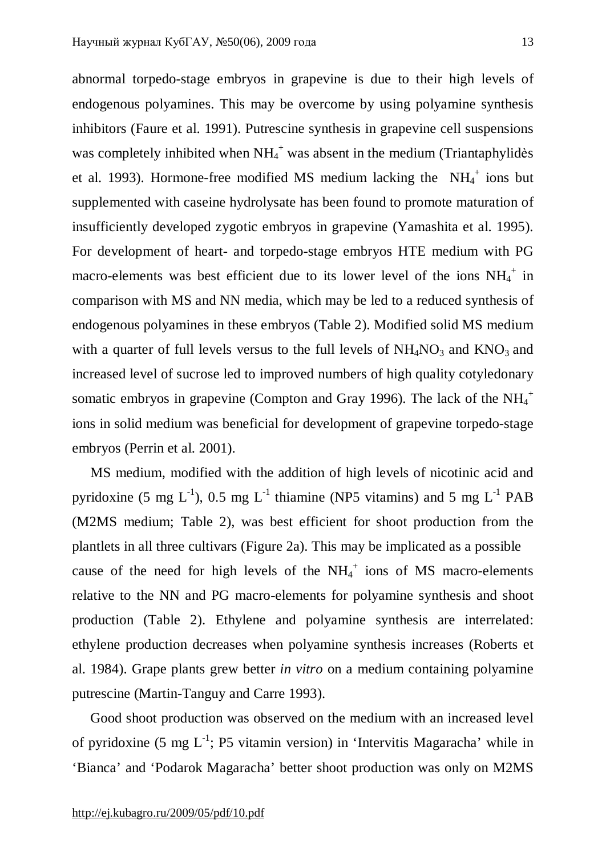abnormal torpedo-stage embryos in grapevine is due to their high levels of endogenous polyamines. This may be overcome by using polyamine synthesis inhibitors (Faure et al. 1991). Putrescine synthesis in grapevine cell suspensions was completely inhibited when  $NH_4^+$  was absent in the medium (Triantaphylidès et al. 1993). Hormone-free modified MS medium lacking the  $NH_4^+$  ions but supplemented with caseine hydrolysate has been found to promote maturation of insufficiently developed zygotic embryos in grapevine (Yamashita et al. 1995). For development of heart- and torpedo-stage embryos HTE medium with PG macro-elements was best efficient due to its lower level of the ions  $NH_4^+$  in comparison with MS and NN media, which may be led to a reduced synthesis of endogenous polyamines in these embryos (Table 2). Modified solid MS medium with a quarter of full levels versus to the full levels of  $NH<sub>4</sub>NO<sub>3</sub>$  and  $KNO<sub>3</sub>$  and increased level of sucrose led to improved numbers of high quality cotyledonary somatic embryos in grapevine (Compton and Gray 1996). The lack of the  $NH_4^+$ ions in solid medium was beneficial for development of grapevine torpedo-stage embryos (Perrin et al. 2001).

MS medium, modified with the addition of high levels of nicotinic acid and pyridoxine (5 mg L<sup>-1</sup>), 0.5 mg L<sup>-1</sup> thiamine (NP5 vitamins) and 5 mg L<sup>-1</sup> PAB (M2MS medium; Table 2), was best efficient for shoot production from the plantlets in all three cultivars (Figure 2a). This may be implicated as a possible cause of the need for high levels of the  $NH_4^+$  ions of MS macro-elements relative to the NN and PG macro-elements for polyamine synthesis and shoot production (Table 2). Ethylene and polyamine synthesis are interrelated: ethylene production decreases when polyamine synthesis increases (Roberts et al. 1984). Grape plants grew better *in vitro* on a medium containing polyamine putrescine (Martin-Tanguy and Carre 1993).

Good shoot production was observed on the medium with an increased level of pyridoxine (5 mg  $L^{-1}$ ; P5 vitamin version) in 'Intervitis Magaracha' while in 'Bianca' and 'Podarok Magaracha' better shoot production was only on M2MS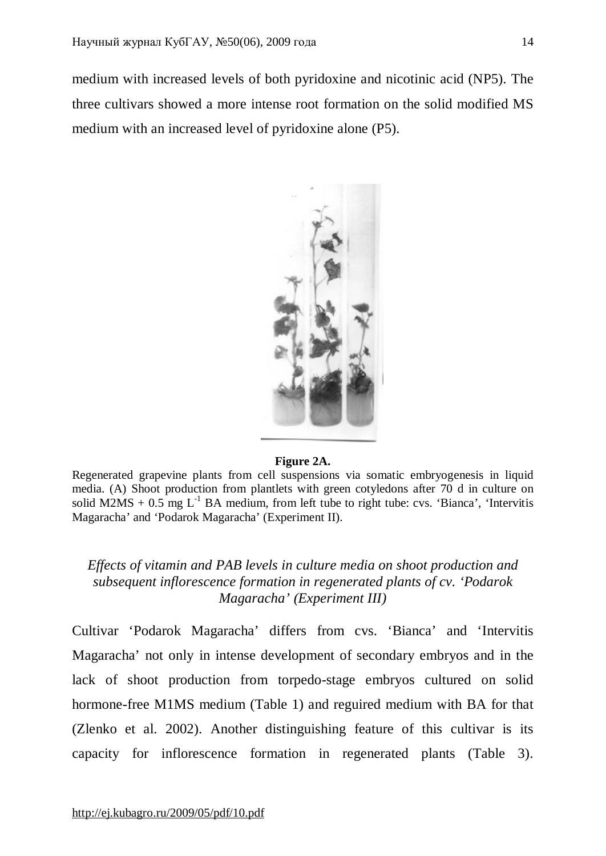medium with increased levels of both pyridoxine and nicotinic acid (NP5). The three cultivars showed a more intense root formation on the solid modified MS medium with an increased level of pyridoxine alone (P5).



#### **Figure 2A.**

Regenerated grapevine plants from cell suspensions via somatic embryogenesis in liquid media. (A) Shoot production from plantlets with green cotyledons after 70 d in culture on solid M2MS + 0.5 mg  $L^{-1}$  BA medium, from left tube to right tube: cvs. 'Bianca', 'Intervitis Magaracha' and 'Podarok Magaracha' (Experiment II).

## *Effects of vitamin and PAB levels in culture media on shoot production and subsequent inflorescence formation in regenerated plants of cv. 'Podarok Magaracha' (Experiment III)*

Cultivar 'Podarok Magaracha' differs from cvs. 'Bianca' and 'Intervitis Magaracha' not only in intense development of secondary embryos and in the lack of shoot production from torpedo-stage embryos cultured on solid hormone-free M1MS medium (Table 1) and reguired medium with BA for that (Zlenko et al. 2002). Another distinguishing feature of this cultivar is its capacity for inflorescence formation in regenerated plants (Table 3).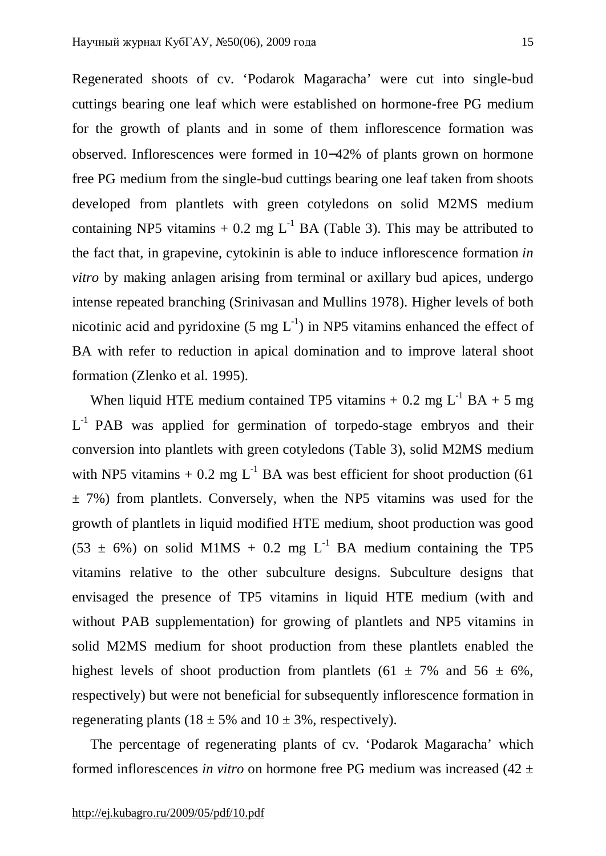Regenerated shoots of cv. 'Podarok Magaracha' were cut into single-bud cuttings bearing one leaf which were established on hormone-free PG medium for the growth of plants and in some of them inflorescence formation was observed. Inflorescences were formed in 10−42% of plants grown on hormone free PG medium from the single-bud cuttings bearing one leaf taken from shoots developed from plantlets with green cotyledons on solid M2MS medium containing NP5 vitamins + 0.2 mg  $L^{-1}$  BA (Table 3). This may be attributed to the fact that, in grapevine, cytokinin is able to induce inflorescence formation *in vitro* by making anlagen arising from terminal or axillary bud apices, undergo intense repeated branching (Srinivasan and Mullins 1978). Higher levels of both nicotinic acid and pyridoxine  $(5 \text{ mg } L^{-1})$  in NP5 vitamins enhanced the effect of BA with refer to reduction in apical domination and to improve lateral shoot formation (Zlenko et al. 1995).

When liquid HTE medium contained TP5 vitamins  $+ 0.2$  mg L<sup>-1</sup> BA  $+ 5$  mg  $L^{-1}$  PAB was applied for germination of torpedo-stage embryos and their conversion into plantlets with green cotyledons (Table 3), solid M2MS medium with NP5 vitamins + 0.2 mg  $L^{-1}$  BA was best efficient for shoot production (61)  $\pm$  7%) from plantlets. Conversely, when the NP5 vitamins was used for the growth of plantlets in liquid modified HTE medium, shoot production was good  $(53 \pm 6\%)$  on solid M1MS + 0.2 mg L<sup>-1</sup> BA medium containing the TP5 vitamins relative to the other subculture designs. Subculture designs that envisaged the presence of TP5 vitamins in liquid HTE medium (with and without PAB supplementation) for growing of plantlets and NP5 vitamins in solid M2MS medium for shoot production from these plantlets enabled the highest levels of shoot production from plantlets (61  $\pm$  7% and 56  $\pm$  6%, respectively) but were not beneficial for subsequently inflorescence formation in regenerating plants ( $18 \pm 5\%$  and  $10 \pm 3\%$ , respectively).

The percentage of regenerating plants of cv. 'Podarok Magaracha' which formed inflorescences *in vitro* on hormone free PG medium was increased (42 ±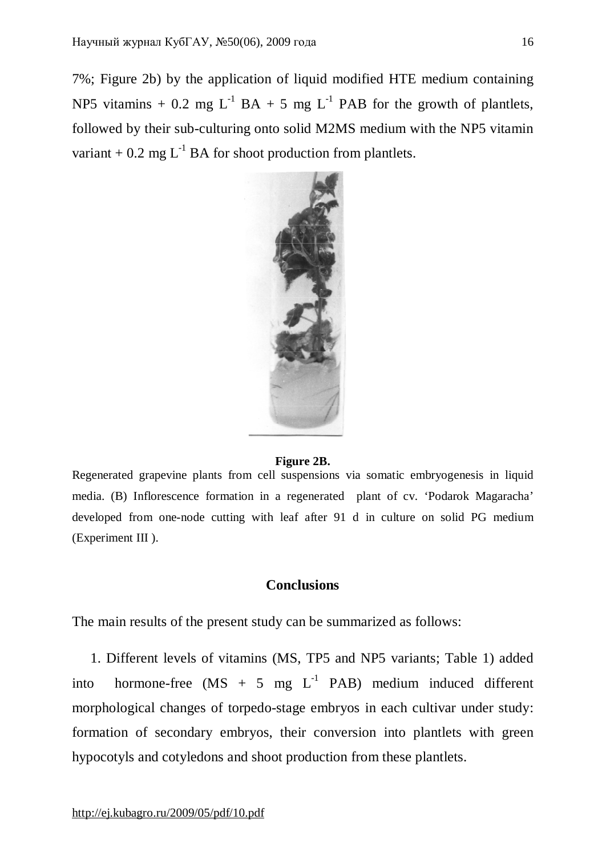7%; Figure 2b) by the application of liquid modified HTE medium containing NP5 vitamins + 0.2 mg  $L^{-1}$  BA + 5 mg  $L^{-1}$  PAB for the growth of plantlets, followed by their sub-culturing onto solid M2MS medium with the NP5 vitamin variant + 0.2 mg  $L^{-1}$  BA for shoot production from plantlets.



#### **Figure 2B.**

Regenerated grapevine plants from cell suspensions via somatic embryogenesis in liquid media. (B) Inflorescence formation in a regenerated plant of cv. 'Podarok Magaracha' developed from one-node cutting with leaf after 91 d in culture on solid PG medium (Experiment III ).

#### **Conclusions**

The main results of the present study can be summarized as follows:

1. Different levels of vitamins (MS, TP5 and NP5 variants; Table 1) added into hormone-free  $(MS + 5 mg L<sup>-1</sup> PAB)$  medium induced different morphological changes of torpedo-stage embryos in each cultivar under study: formation of secondary embryos, their conversion into plantlets with green hypocotyls and cotyledons and shoot production from these plantlets.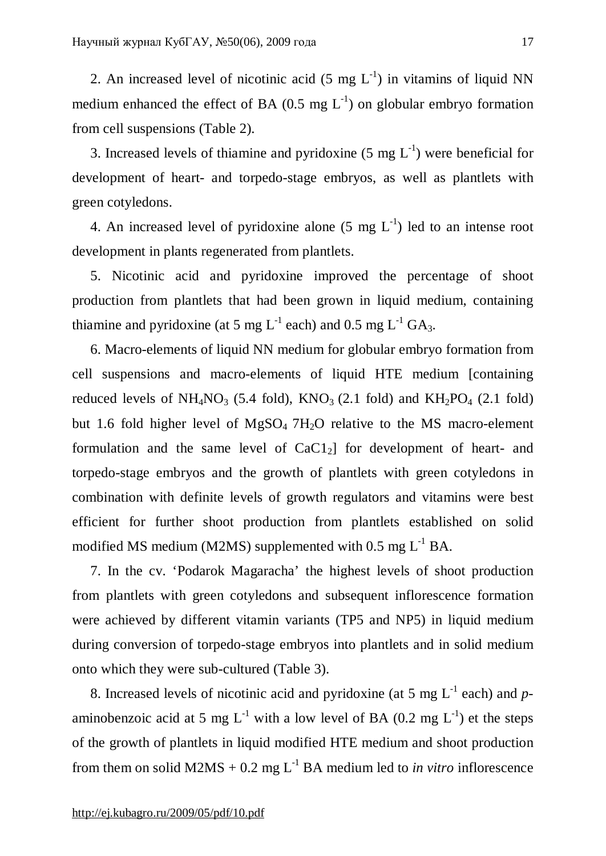2. An increased level of nicotinic acid (5 mg  $L^{-1}$ ) in vitamins of liquid NN medium enhanced the effect of BA  $(0.5 \text{ mg } L^{-1})$  on globular embryo formation from cell suspensions (Table 2).

3. Increased levels of thiamine and pyridoxine  $(5 \text{ mg } L^{-1})$  were beneficial for development of heart- and torpedo-stage embryos, as well as plantlets with green cotyledons.

4. An increased level of pyridoxine alone  $(5 \text{ mg } L^{-1})$  led to an intense root development in plants regenerated from plantlets.

5. Nicotinic acid and pyridoxine improved the percentage of shoot production from plantlets that had been grown in liquid medium, containing thiamine and pyridoxine (at 5 mg  $L^{-1}$  each) and 0.5 mg  $L^{-1}$  GA<sub>3</sub>.

6. Macro-elements of liquid NN medium for globular embryo formation from cell suspensions and macro-elements of liquid HTE medium [containing reduced levels of NH<sub>4</sub>NO<sub>3</sub> (5.4 fold), KNO<sub>3</sub> (2.1 fold) and KH<sub>2</sub>PO<sub>4</sub> (2.1 fold) but 1.6 fold higher level of  $MgSO<sub>4</sub> 7H<sub>2</sub>O$  relative to the MS macro-element formulation and the same level of  $CaCl<sub>2</sub>$ ] for development of heart- and torpedo-stage embryos and the growth of plantlets with green cotyledons in combination with definite levels of growth regulators and vitamins were best efficient for further shoot production from plantlets established on solid modified MS medium (M2MS) supplemented with  $0.5$  mg  $L^{-1}$  BA.

7. In the cv. 'Podarok Magaracha' the highest levels of shoot production from plantlets with green cotyledons and subsequent inflorescence formation were achieved by different vitamin variants (TP5 and NP5) in liquid medium during conversion of torpedo-stage embryos into plantlets and in solid medium onto which they were sub-cultured (Table 3).

8. Increased levels of nicotinic acid and pyridoxine (at 5 mg  $L^{-1}$  each) and  $p$ aminobenzoic acid at 5 mg L<sup>-1</sup> with a low level of BA (0.2 mg L<sup>-1</sup>) et the steps of the growth of plantlets in liquid modified HTE medium and shoot production from them on solid  $M2MS + 0.2$  mg  $L^{-1}BA$  medium led to *in vitro* inflorescence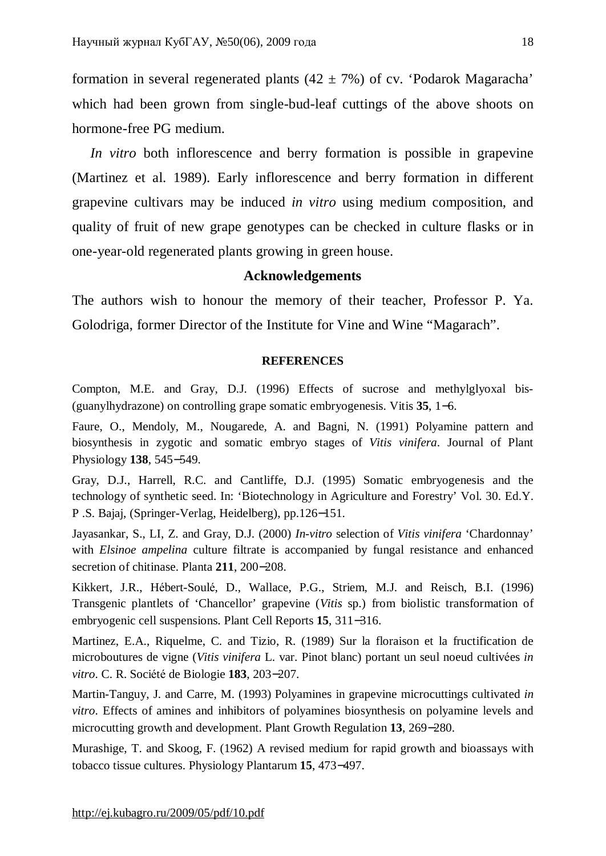formation in several regenerated plants  $(42 \pm 7\%)$  of cv. 'Podarok Magaracha' which had been grown from single-bud-leaf cuttings of the above shoots on hormone-free PG medium.

*In vitro* both inflorescence and berry formation is possible in grapevine (Martinez et al. 1989). Early inflorescence and berry formation in different grapevine cultivars may be induced *in vitro* using medium composition, and quality of fruit of new grape genotypes can be checked in culture flasks or in one-year-old regenerated plants growing in green house.

#### **Acknowledgements**

The authors wish to honour the memory of their teacher, Professor P. Ya. Golodriga, former Director of the Institute for Vine and Wine "Magarach".

#### **REFERENCES**

Compton, M.E. and Gray, D.J. (1996) Effects of sucrose and methylglyoxal bis- (guanylhydrazone) on controlling grape somatic embryogenesis. Vitis **35**, 1−6.

Faure, O., Mendoly, M., Nougarede, A. and Bagni, N. (1991) Polyamine pattern and biosynthesis in zygotic and somatic embryo stages of *Vitis vinifera*. Journal of Plant Physiology **138**, 545−549.

Gray, D.J., Harrell, R.C. and Cantliffe, D.J. (1995) Somatic embryogenesis and the technology of synthetic seed. In: 'Biotechnology in Agriculture and Forestry' Vol. 30. Ed.Y. P .S. Bajaj, (Springer-Verlag, Heidelberg), pp.126−151.

Jayasankar, S., LI, Z. and Gray, D.J. (2000) *In-vitro* selection of *Vitis vinifera* 'Chardonnay' with *Elsinoe ampelina* culture filtrate is accompanied by fungal resistance and enhanced secretion of chitinase. Planta **211**, 200−208.

Kikkert, J.R., Hébert-Soulé, D., Wallace, P.G., Striem, M.J. and Reisch, B.I. (1996) Transgenic plantlets of 'Chancellor' grapevine (*Vitis* sp.) from biolistic transformation of embryogenic cell suspensions. Plant Cell Reports **15**, 311−316.

Martinez, E.A., Riquelme, C. and Tizio, R. (1989) Sur la floraison et la fructification de microboutures de vigne (*Vitis vinifera* L. var. Pinot blanc) portant un seul noeud cultivées *in vitro*. C. R. Société de Biologie **183**, 203−207.

Martin-Tanguy, J. and Carre, M. (1993) Polyamines in grapevine microcuttings cultivated *in vitro*. Effects of amines and inhibitors of polyamines biosynthesis on polyamine levels and microcutting growth and development. Plant Growth Regulation **13**, 269−280.

Murashige, T. and Skoog, F. (1962) A revised medium for rapid growth and bioassays with tobacco tissue cultures. Physiology Plantarum **15**, 473−497.

<http://ej.kubagro.ru/2009/05/pdf/10.pdf>